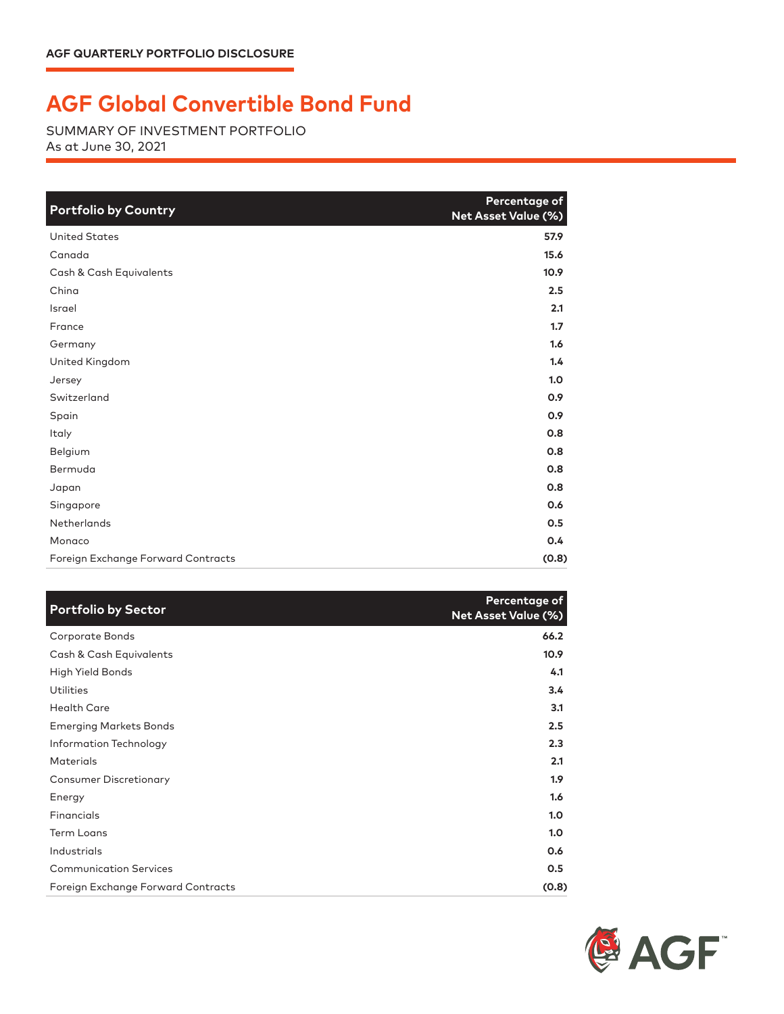## **AGF Global Convertible Bond Fund**

SUMMARY OF INVESTMENT PORTFOLIO As at June 30, 2021

| <b>Portfolio by Country</b>        | Percentage of<br>Net Asset Value (%) |
|------------------------------------|--------------------------------------|
| <b>United States</b>               | 57.9                                 |
| Canada                             | 15.6                                 |
| Cash & Cash Equivalents            | 10.9                                 |
| China                              | 2.5                                  |
| Israel                             | 2.1                                  |
| France                             | 1.7                                  |
| Germany                            | 1.6                                  |
| United Kingdom                     | 1.4                                  |
| Jersey                             | 1.0                                  |
| Switzerland                        | 0.9                                  |
| Spain                              | 0.9                                  |
| Italy                              | 0.8                                  |
| Belgium                            | 0.8                                  |
| Bermuda                            | 0.8                                  |
| Japan                              | 0.8                                  |
| Singapore                          | 0.6                                  |
| Netherlands                        | 0.5                                  |
| Monaco                             | 0.4                                  |
| Foreign Exchange Forward Contracts | (0.8)                                |

| <b>Portfolio by Sector</b>         | Percentage of<br><b>Net Asset Value (%)</b> |
|------------------------------------|---------------------------------------------|
| Corporate Bonds                    | 66.2                                        |
| Cash & Cash Equivalents            | 10.9                                        |
| High Yield Bonds                   | 4.1                                         |
| Utilities                          | 3.4                                         |
| <b>Health Care</b>                 | 3.1                                         |
| <b>Emerging Markets Bonds</b>      | 2.5                                         |
| Information Technology             | 2.3                                         |
| <b>Materials</b>                   | 2.1                                         |
| <b>Consumer Discretionary</b>      | 1.9 <sup>2</sup>                            |
| Energy                             | 1.6                                         |
| Financials                         | 1.0                                         |
| <b>Term Loans</b>                  | 1.0                                         |
| Industrials                        | 0.6                                         |
| <b>Communication Services</b>      | 0.5                                         |
| Foreign Exchange Forward Contracts | (0.8)                                       |

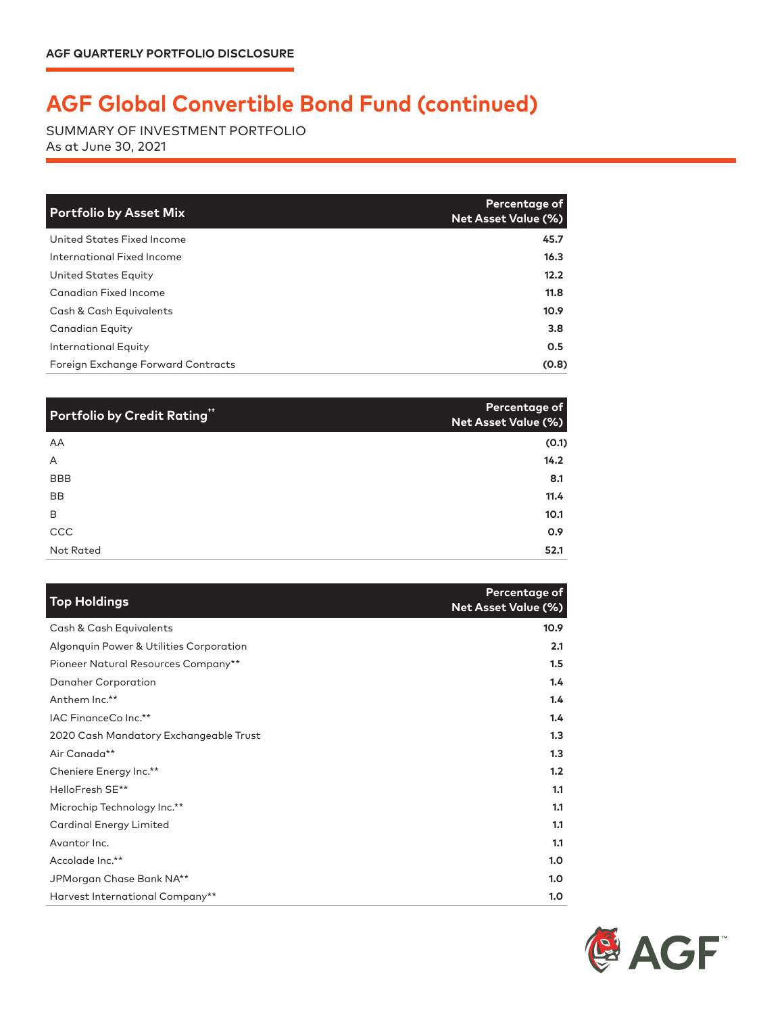## **AGF Global Convertible Bond Fund (continued)**

SUMMARY OF INVESTMENT PORTFOLIO As at June 30, 2021

| <b>Portfolio by Asset Mix</b>      | Percentage of<br>Net Asset Value (%) |
|------------------------------------|--------------------------------------|
| United States Fixed Income         | 45.7                                 |
| International Fixed Income         | 16.3                                 |
| United States Equity               | 12.2                                 |
| Canadian Fixed Income              | 11.8                                 |
| Cash & Cash Equivalents            | 10.9                                 |
| <b>Canadian Equity</b>             | 3.8                                  |
| International Equity               | 0.5                                  |
| Foreign Exchange Forward Contracts | (0.8)                                |

| Portfolio by Credit Rating" | Percentage of<br>Net Asset Value (%) |
|-----------------------------|--------------------------------------|
| AA                          | (0.1)                                |
| A                           | 14.2                                 |
| BBB                         | 8.1                                  |
| <b>BB</b>                   | 11.4                                 |
| B                           | 10.1                                 |
| CCC                         | 0.9                                  |
| Not Rated                   | 52.1                                 |

| <b>Top Holdings</b>                     | Percentage of<br><b>Net Asset Value (%)</b> |
|-----------------------------------------|---------------------------------------------|
| Cash & Cash Equivalents                 | 10.9                                        |
| Algonquin Power & Utilities Corporation | 2.1                                         |
| Pioneer Natural Resources Company**     | 1.5                                         |
| Danaher Corporation                     | 1.4                                         |
| Anthem Inc.**                           | 1.4                                         |
| IAC FinanceCo Inc.**                    | 1.4                                         |
| 2020 Cash Mandatory Exchangeable Trust  | 1.3                                         |
| Air Canada**                            | 1.3                                         |
| Cheniere Energy Inc.**                  | 1.2                                         |
| HelloFresh SE**                         | 1.1                                         |
| Microchip Technology Inc.**             | 1.1                                         |
| <b>Cardinal Energy Limited</b>          | 1.1                                         |
| Avantor Inc.                            | 1.1                                         |
| Accolade Inc.**                         | 1.0                                         |
| JPMorgan Chase Bank NA**                | 1.0                                         |
| Harvest International Company**         | 1.0                                         |